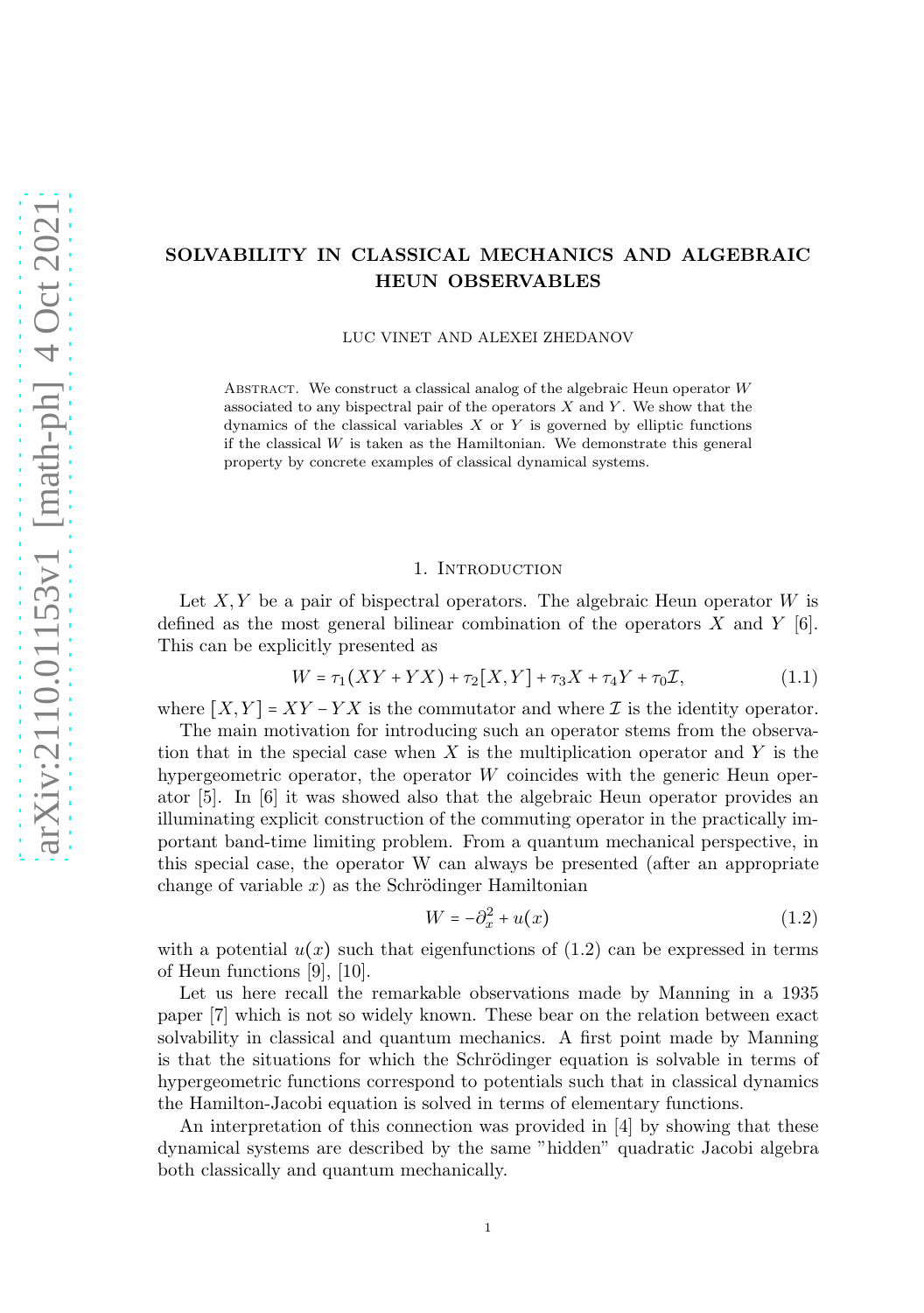# SOLVABILITY IN CLASSICAL MECHANICS AND ALGEBRAIC HEUN OBSERVABLES

LUC VINET AND ALEXEI ZHEDANOV

ABSTRACT. We construct a classical analog of the algebraic Heun operator  $W$ associated to any bispectral pair of the operators  $X$  and  $Y$ . We show that the dynamics of the classical variables  $X$  or  $Y$  is governed by elliptic functions if the classical  $W$  is taken as the Hamiltonian. We demonstrate this general property by concrete examples of classical dynamical systems.

#### 1. INTRODUCTION

Let  $X, Y$  be a pair of bispectral operators. The algebraic Heun operator  $W$  is defined as the most general bilinear combination of the operators X and Y  $[6]$ . This can be explicitly presented as

$$
W = \tau_1(XY + YX) + \tau_2[X, Y] + \tau_3 X + \tau_4 Y + \tau_0 \mathcal{I}, \tag{1.1}
$$

where  $[X, Y] = XY - YX$  is the commutator and where  $\mathcal I$  is the identity operator.

The main motivation for introducing such an operator stems from the observation that in the special case when  $X$  is the multiplication operator and  $Y$  is the hypergeometric operator, the operator W coincides with the generic Heun operator [5]. In [6] it was showed also that the algebraic Heun operator provides an illuminating explicit construction of the commuting operator in the practically important band-time limiting problem. From a quantum mechanical perspective, in this special case, the operator W can always be presented (after an appropriate change of variable  $x$ ) as the Schrödinger Hamiltonian

$$
W = -\partial_x^2 + u(x) \tag{1.2}
$$

with a potential  $u(x)$  such that eigenfunctions of (1.2) can be expressed in terms of Heun functions [9], [10].

Let us here recall the remarkable observations made by Manning in a 1935 paper [7] which is not so widely known. These bear on the relation between exact solvability in classical and quantum mechanics. A first point made by Manning is that the situations for which the Schrödinger equation is solvable in terms of hypergeometric functions correspond to potentials such that in classical dynamics the Hamilton-Jacobi equation is solved in terms of elementary functions.

An interpretation of this connection was provided in [4] by showing that these dynamical systems are described by the same "hidden" quadratic Jacobi algebra both classically and quantum mechanically.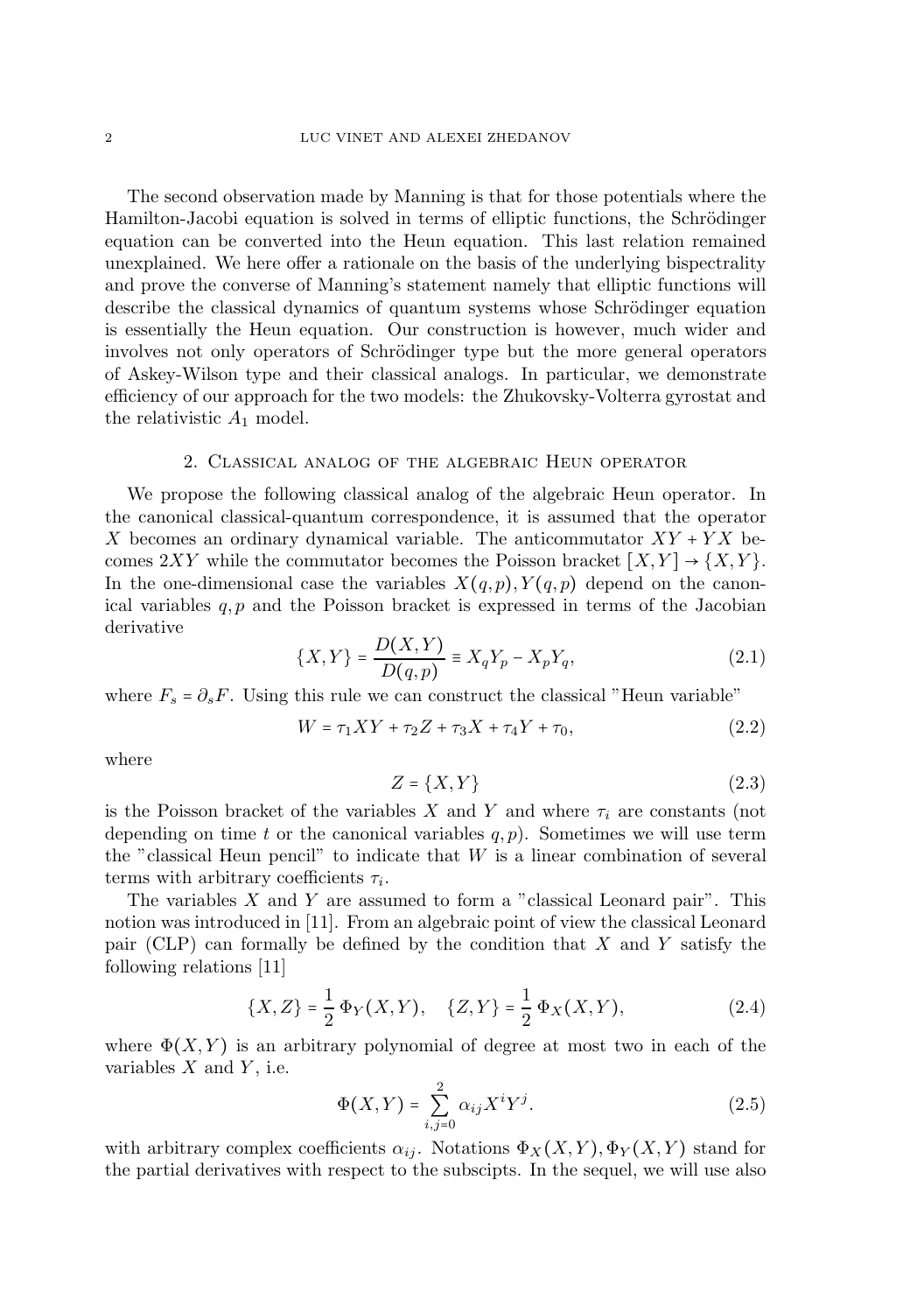The second observation made by Manning is that for those potentials where the Hamilton-Jacobi equation is solved in terms of elliptic functions, the Schrödinger equation can be converted into the Heun equation. This last relation remained unexplained. We here offer a rationale on the basis of the underlying bispectrality and prove the converse of Manning's statement namely that elliptic functions will describe the classical dynamics of quantum systems whose Schrödinger equation is essentially the Heun equation. Our construction is however, much wider and involves not only operators of Schrödinger type but the more general operators of Askey-Wilson type and their classical analogs. In particular, we demonstrate efficiency of our approach for the two models: the Zhukovsky-Volterra gyrostat and the relativistic  $A_1$  model.

### 2. Classical analog of the algebraic Heun operator

We propose the following classical analog of the algebraic Heun operator. In the canonical classical-quantum correspondence, it is assumed that the operator X becomes an ordinary dynamical variable. The anticommutator  $XY + YX$  becomes  $2XY$  while the commutator becomes the Poisson bracket  $[X, Y] \rightarrow \{X, Y\}$ . In the one-dimensional case the variables  $X(q, p), Y(q, p)$  depend on the canonical variables  $q, p$  and the Poisson bracket is expressed in terms of the Jacobian derivative

$$
\{X, Y\} = \frac{D(X, Y)}{D(q, p)} \equiv X_q Y_p - X_p Y_q,
$$
\n(2.1)

where  $F_s = \partial_s F$ . Using this rule we can construct the classical "Heun variable"

$$
W = \tau_1 XY + \tau_2 Z + \tau_3 X + \tau_4 Y + \tau_0, \tag{2.2}
$$

where

$$
Z = \{X, Y\} \tag{2.3}
$$

is the Poisson bracket of the variables X and Y and where  $\tau_i$  are constants (not depending on time t or the canonical variables  $q, p$ ). Sometimes we will use term the "classical Heun pencil" to indicate that W is a linear combination of several terms with arbitrary coefficients  $\tau_i$ .

The variables  $X$  and  $Y$  are assumed to form a "classical Leonard pair". This notion was introduced in [11]. From an algebraic point of view the classical Leonard pair (CLP) can formally be defined by the condition that  $X$  and  $Y$  satisfy the following relations [11]

$$
\{X, Z\} = \frac{1}{2} \Phi_Y(X, Y), \quad \{Z, Y\} = \frac{1}{2} \Phi_X(X, Y), \tag{2.4}
$$

where  $\Phi(X, Y)$  is an arbitrary polynomial of degree at most two in each of the variables  $X$  and  $Y$ , i.e.

$$
\Phi(X,Y) = \sum_{i,j=0}^{2} \alpha_{ij} X^i Y^j.
$$
\n(2.5)

with arbitrary complex coefficients  $\alpha_{ij}$ . Notations  $\Phi_X(X, Y), \Phi_Y(X, Y)$  stand for the partial derivatives with respect to the subscipts. In the sequel, we will use also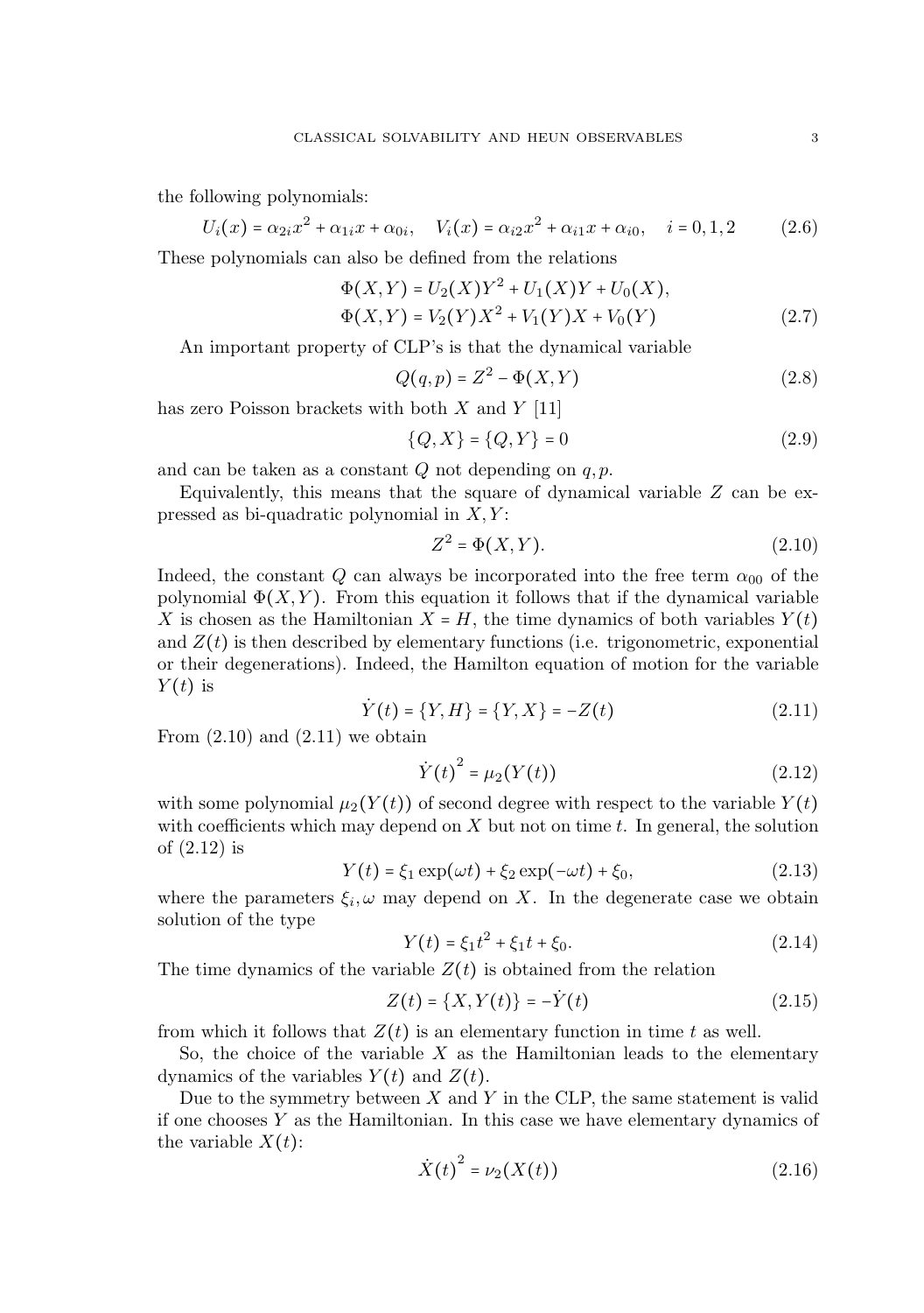the following polynomials:

$$
U_i(x) = \alpha_{2i}x^2 + \alpha_{1i}x + \alpha_{0i}, \quad V_i(x) = \alpha_{i2}x^2 + \alpha_{i1}x + \alpha_{i0}, \quad i = 0, 1, 2 \tag{2.6}
$$

These polynomials can also be defined from the relations

$$
\Phi(X,Y) = U_2(X)Y^2 + U_1(X)Y + U_0(X),
$$
  
\n
$$
\Phi(X,Y) = V_2(Y)X^2 + V_1(Y)X + V_0(Y)
$$
\n(2.7)

An important property of CLP's is that the dynamical variable

$$
Q(q, p) = Z^2 - \Phi(X, Y) \tag{2.8}
$$

has zero Poisson brackets with both  $X$  and  $Y$  [11]

$$
\{Q, X\} = \{Q, Y\} = 0
$$
\n(2.9)

and can be taken as a constant  $Q$  not depending on  $q, p$ .

Equivalently, this means that the square of dynamical variable  $Z$  can be expressed as bi-quadratic polynomial in  $X, Y$ :

$$
Z^2 = \Phi(X, Y). \tag{2.10}
$$

Indeed, the constant Q can always be incorporated into the free term  $\alpha_{00}$  of the polynomial  $\Phi(X, Y)$ . From this equation it follows that if the dynamical variable X is chosen as the Hamiltonian  $X = H$ , the time dynamics of both variables  $Y(t)$ and  $Z(t)$  is then described by elementary functions (i.e. trigonometric, exponential or their degenerations). Indeed, the Hamilton equation of motion for the variable  $Y(t)$  is

$$
\dot{Y}(t) = \{Y, H\} = \{Y, X\} = -Z(t) \tag{2.11}
$$

From  $(2.10)$  and  $(2.11)$  we obtain

$$
\dot{Y}(t)^{2} = \mu_{2}(Y(t))
$$
\n(2.12)

with some polynomial  $\mu_2(Y(t))$  of second degree with respect to the variable  $Y(t)$ with coefficients which may depend on  $X$  but not on time  $t$ . In general, the solution of (2.12) is

$$
Y(t) = \xi_1 \exp(\omega t) + \xi_2 \exp(-\omega t) + \xi_0,
$$
\n(2.13)

where the parameters  $\xi_i, \omega$  may depend on X. In the degenerate case we obtain solution of the type

$$
Y(t) = \xi_1 t^2 + \xi_1 t + \xi_0.
$$
 (2.14)

The time dynamics of the variable  $Z(t)$  is obtained from the relation

$$
Z(t) = \{X, Y(t)\} = -\dot{Y}(t)
$$
\n(2.15)

from which it follows that  $Z(t)$  is an elementary function in time t as well.

So, the choice of the variable  $X$  as the Hamiltonian leads to the elementary dynamics of the variables  $Y(t)$  and  $Z(t)$ .

Due to the symmetry between  $X$  and  $Y$  in the CLP, the same statement is valid if one chooses  $Y$  as the Hamiltonian. In this case we have elementary dynamics of the variable  $X(t)$ :

$$
\dot{X}(t)^{2} = \nu_{2}(X(t))
$$
\n(2.16)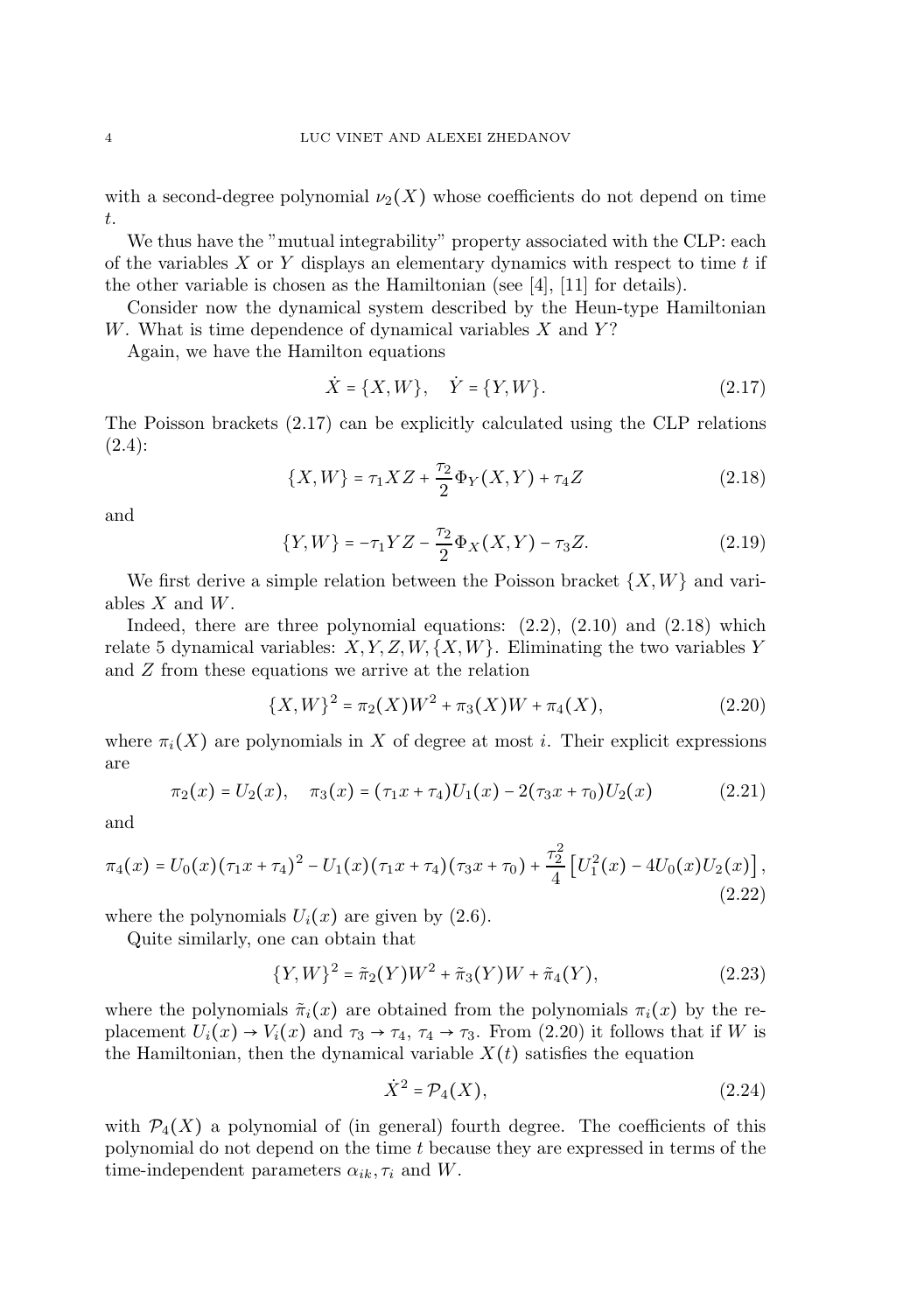with a second-degree polynomial  $\nu_2(X)$  whose coefficients do not depend on time t.

We thus have the "mutual integrability" property associated with the CLP: each of the variables  $X$  or  $Y$  displays an elementary dynamics with respect to time  $t$  if the other variable is chosen as the Hamiltonian (see [4], [11] for details).

Consider now the dynamical system described by the Heun-type Hamiltonian W. What is time dependence of dynamical variables  $X$  and  $Y$ ?

Again, we have the Hamilton equations

$$
\dot{X} = \{X, W\}, \quad \dot{Y} = \{Y, W\}.
$$
\n(2.17)

The Poisson brackets (2.17) can be explicitly calculated using the CLP relations (2.4):

$$
\{X,W\} = \tau_1 X Z + \frac{\tau_2}{2} \Phi_Y(X,Y) + \tau_4 Z \tag{2.18}
$$

and

$$
\{Y,W\} = -\tau_1 YZ - \frac{\tau_2}{2} \Phi_X(X,Y) - \tau_3 Z.
$$
 (2.19)

We first derive a simple relation between the Poisson bracket  $\{X,W\}$  and variables  $X$  and  $W$ .

Indeed, there are three polynomial equations:  $(2.2)$ ,  $(2.10)$  and  $(2.18)$  which relate 5 dynamical variables:  $X, Y, Z, W, \{X, W\}$ . Eliminating the two variables Y and Z from these equations we arrive at the relation

$$
\{X,W\}^2 = \pi_2(X)W^2 + \pi_3(X)W + \pi_4(X),\tag{2.20}
$$

where  $\pi_i(X)$  are polynomials in X of degree at most i. Their explicit expressions are

$$
\pi_2(x) = U_2(x), \quad \pi_3(x) = (\tau_1 x + \tau_4)U_1(x) - 2(\tau_3 x + \tau_0)U_2(x) \tag{2.21}
$$

and

$$
\pi_4(x) = U_0(x)(\tau_1 x + \tau_4)^2 - U_1(x)(\tau_1 x + \tau_4)(\tau_3 x + \tau_0) + \frac{\tau_2^2}{4} \left[ U_1^2(x) - 4U_0(x)U_2(x) \right],\tag{2.22}
$$

where the polynomials  $U_i(x)$  are given by (2.6).

Quite similarly, one can obtain that

$$
\{Y,W\}^2 = \tilde{\pi}_2(Y)W^2 + \tilde{\pi}_3(Y)W + \tilde{\pi}_4(Y),\tag{2.23}
$$

where the polynomials  $\tilde{\pi}_i(x)$  are obtained from the polynomials  $\pi_i(x)$  by the replacement  $U_i(x) \rightarrow V_i(x)$  and  $\tau_3 \rightarrow \tau_4$ ,  $\tau_4 \rightarrow \tau_3$ . From (2.20) it follows that if W is the Hamiltonian, then the dynamical variable  $X(t)$  satisfies the equation

$$
\dot{X}^2 = \mathcal{P}_4(X),\tag{2.24}
$$

with  $\mathcal{P}_4(X)$  a polynomial of (in general) fourth degree. The coefficients of this polynomial do not depend on the time t because they are expressed in terms of the time-independent parameters  $\alpha_{ik}, \tau_i$  and W.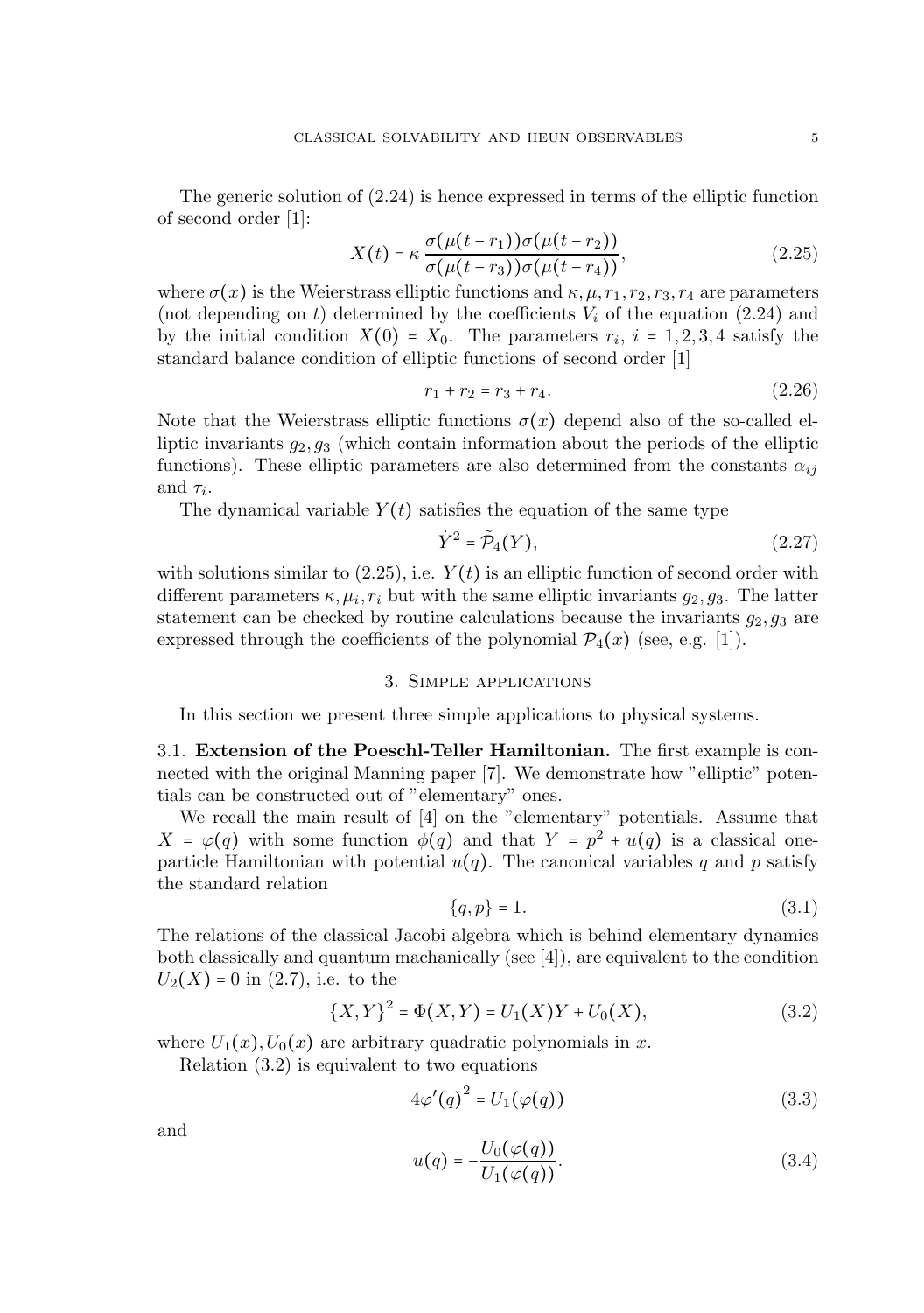The generic solution of (2.24) is hence expressed in terms of the elliptic function of second order [1]:

$$
X(t) = \kappa \frac{\sigma(\mu(t - r_1))\sigma(\mu(t - r_2))}{\sigma(\mu(t - r_3))\sigma(\mu(t - r_4))},
$$
\n(2.25)

where  $\sigma(x)$  is the Weierstrass elliptic functions and  $\kappa, \mu, r_1, r_2, r_3, r_4$  are parameters (not depending on t) determined by the coefficients  $V_i$  of the equation (2.24) and by the initial condition  $X(0) = X_0$ . The parameters  $r_i$ ,  $i = 1, 2, 3, 4$  satisfy the standard balance condition of elliptic functions of second order [1]

$$
r_1 + r_2 = r_3 + r_4. \t\t(2.26)
$$

Note that the Weierstrass elliptic functions  $\sigma(x)$  depend also of the so-called elliptic invariants  $g_2, g_3$  (which contain information about the periods of the elliptic functions). These elliptic parameters are also determined from the constants  $\alpha_{ij}$ and  $\tau_i$ .

The dynamical variable  $Y(t)$  satisfies the equation of the same type

$$
\dot{Y}^2 = \tilde{\mathcal{P}}_4(Y),\tag{2.27}
$$

with solutions similar to  $(2.25)$ , i.e.  $Y(t)$  is an elliptic function of second order with different parameters  $\kappa, \mu_i, r_i$  but with the same elliptic invariants  $g_2, g_3$ . The latter statement can be checked by routine calculations because the invariants  $g_2, g_3$  are expressed through the coefficients of the polynomial  $\mathcal{P}_4(x)$  (see, e.g. [1]).

## 3. Simple applications

In this section we present three simple applications to physical systems.

3.1. Extension of the Poeschl-Teller Hamiltonian. The first example is connected with the original Manning paper [7]. We demonstrate how "elliptic" potentials can be constructed out of "elementary" ones.

We recall the main result of [4] on the "elementary" potentials. Assume that  $X = \varphi(q)$  with some function  $\phi(q)$  and that  $Y = p^2 + u(q)$  is a classical oneparticle Hamiltonian with potential  $u(q)$ . The canonical variables q and p satisfy the standard relation

$$
\{q, p\} = 1. \tag{3.1}
$$

The relations of the classical Jacobi algebra which is behind elementary dynamics both classically and quantum machanically (see [4]), are equivalent to the condition  $U_2(X) = 0$  in (2.7), i.e. to the

$$
\{X,Y\}^2 = \Phi(X,Y) = U_1(X)Y + U_0(X),\tag{3.2}
$$

where  $U_1(x)$ ,  $U_0(x)$  are arbitrary quadratic polynomials in x.

Relation (3.2) is equivalent to two equations

$$
4\varphi'(q)^2 = U_1(\varphi(q))\tag{3.3}
$$

and

$$
u(q) = -\frac{U_0(\varphi(q))}{U_1(\varphi(q))}.\tag{3.4}
$$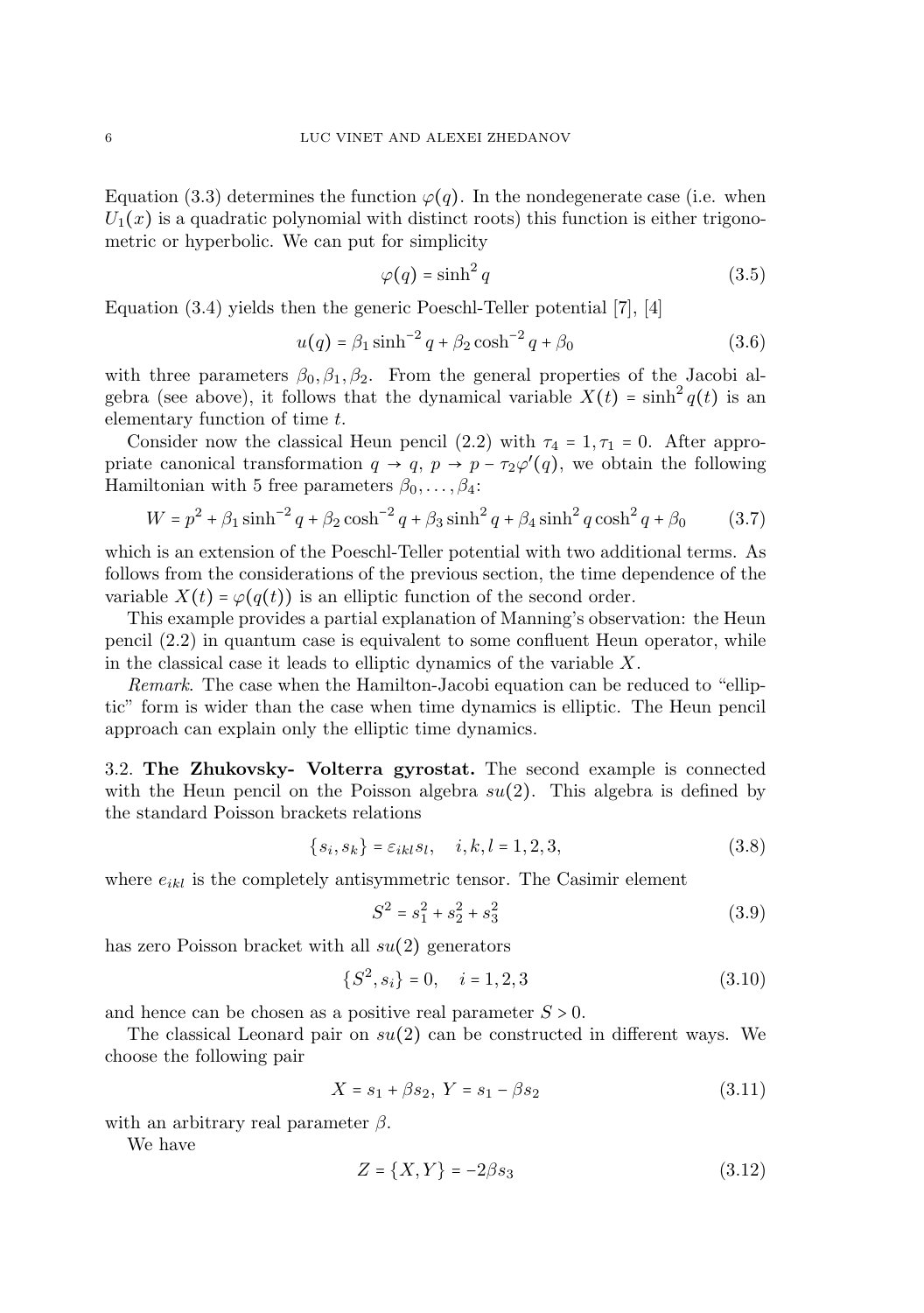Equation (3.3) determines the function  $\varphi(q)$ . In the nondegenerate case (i.e. when  $U_1(x)$  is a quadratic polynomial with distinct roots) this function is either trigonometric or hyperbolic. We can put for simplicity

$$
\varphi(q) = \sinh^2 q \tag{3.5}
$$

Equation (3.4) yields then the generic Poeschl-Teller potential [7], [4]

$$
u(q) = \beta_1 \sinh^{-2} q + \beta_2 \cosh^{-2} q + \beta_0 \tag{3.6}
$$

with three parameters  $\beta_0$ ,  $\beta_1$ ,  $\beta_2$ . From the general properties of the Jacobi algebra (see above), it follows that the dynamical variable  $X(t) = \sinh^2 q(t)$  is an elementary function of time t.

Consider now the classical Heun pencil (2.2) with  $\tau_4 = 1, \tau_1 = 0$ . After appropriate canonical transformation  $q \to q$ ,  $p \to p - \tau_2 \varphi'(q)$ , we obtain the following Hamiltonian with 5 free parameters  $\beta_0, \ldots, \beta_4$ :

$$
W = p^{2} + \beta_{1} \sinh^{-2} q + \beta_{2} \cosh^{-2} q + \beta_{3} \sinh^{2} q + \beta_{4} \sinh^{2} q \cosh^{2} q + \beta_{0}
$$
 (3.7)

which is an extension of the Poeschl-Teller potential with two additional terms. As follows from the considerations of the previous section, the time dependence of the variable  $X(t) = \varphi(q(t))$  is an elliptic function of the second order.

This example provides a partial explanation of Manning's observation: the Heun pencil (2.2) in quantum case is equivalent to some confluent Heun operator, while in the classical case it leads to elliptic dynamics of the variable X.

Remark. The case when the Hamilton-Jacobi equation can be reduced to "elliptic" form is wider than the case when time dynamics is elliptic. The Heun pencil approach can explain only the elliptic time dynamics.

3.2. The Zhukovsky- Volterra gyrostat. The second example is connected with the Heun pencil on the Poisson algebra  $su(2)$ . This algebra is defined by the standard Poisson brackets relations

$$
\{s_i, s_k\} = \varepsilon_{ikl} s_l, \quad i, k, l = 1, 2, 3,
$$
\n
$$
(3.8)
$$

where  $e_{ikl}$  is the completely antisymmetric tensor. The Casimir element

$$
S^2 = s_1^2 + s_2^2 + s_3^2 \tag{3.9}
$$

has zero Poisson bracket with all  $su(2)$  generators

$$
\{S^2, s_i\} = 0, \quad i = 1, 2, 3 \tag{3.10}
$$

and hence can be chosen as a positive real parameter  $S > 0$ .

The classical Leonard pair on  $su(2)$  can be constructed in different ways. We choose the following pair

$$
X = s_1 + \beta s_2, \ Y = s_1 - \beta s_2 \tag{3.11}
$$

with an arbitrary real parameter  $\beta$ .

We have

$$
Z = \{X, Y\} = -2\beta s_3 \tag{3.12}
$$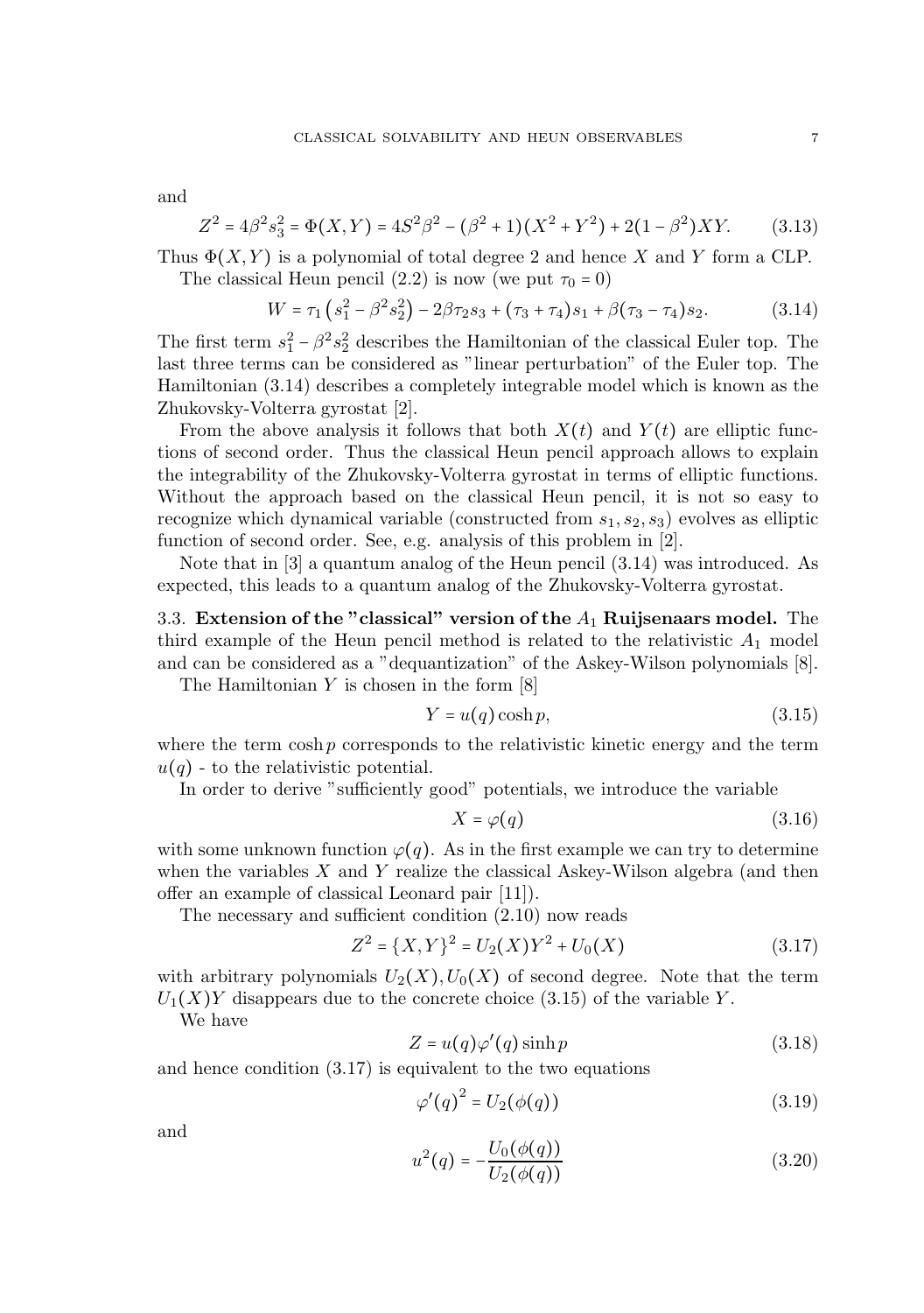and

$$
Z^{2} = 4\beta^{2} s_{3}^{2} = \Phi(X,Y) = 4S^{2}\beta^{2} - (\beta^{2} + 1)(X^{2} + Y^{2}) + 2(1 - \beta^{2})XY.
$$
 (3.13)

Thus  $\Phi(X, Y)$  is a polynomial of total degree 2 and hence X and Y form a CLP. The classical Heun pencil (2.2) is now (we put  $\tau_0 = 0$ )

$$
W = \tau_1 \left( s_1^2 - \beta^2 s_2^2 \right) - 2\beta \tau_2 s_3 + (\tau_3 + \tau_4) s_1 + \beta (\tau_3 - \tau_4) s_2. \tag{3.14}
$$

The first term  $s_1^2 - \beta^2 s_2^2$  describes the Hamiltonian of the classical Euler top. The last three terms can be considered as "linear perturbation" of the Euler top. The Hamiltonian (3.14) describes a completely integrable model which is known as the Zhukovsky-Volterra gyrostat [2].

From the above analysis it follows that both  $X(t)$  and  $Y(t)$  are elliptic functions of second order. Thus the classical Heun pencil approach allows to explain the integrability of the Zhukovsky-Volterra gyrostat in terms of elliptic functions. Without the approach based on the classical Heun pencil, it is not so easy to recognize which dynamical variable (constructed from  $s_1, s_2, s_3$ ) evolves as elliptic function of second order. See, e.g. analysis of this problem in [2].

Note that in [3] a quantum analog of the Heun pencil (3.14) was introduced. As expected, this leads to a quantum analog of the Zhukovsky-Volterra gyrostat.

3.3. Extension of the "classical" version of the  $A_1$  Ruijsenaars model. The third example of the Heun pencil method is related to the relativistic  $A_1$  model and can be considered as a "dequantization" of the Askey-Wilson polynomials [8].

The Hamiltonian  $Y$  is chosen in the form  $[8]$ 

$$
Y = u(q)\cosh p,\tag{3.15}
$$

where the term  $\cosh p$  corresponds to the relativistic kinetic energy and the term  $u(q)$  - to the relativistic potential.

In order to derive "sufficiently good" potentials, we introduce the variable

$$
X = \varphi(q) \tag{3.16}
$$

with some unknown function  $\varphi(q)$ . As in the first example we can try to determine when the variables  $X$  and  $Y$  realize the classical Askey-Wilson algebra (and then offer an example of classical Leonard pair [11]).

The necessary and sufficient condition (2.10) now reads

$$
Z^{2} = \{X,Y\}^{2} = U_{2}(X)Y^{2} + U_{0}(X)
$$
\n(3.17)

with arbitrary polynomials  $U_2(X)$ ,  $U_0(X)$  of second degree. Note that the term  $U_1(X)Y$  disappears due to the concrete choice (3.15) of the variable Y.

We have

$$
Z = u(q)\varphi'(q)\sinh p \tag{3.18}
$$

and hence condition (3.17) is equivalent to the two equations

$$
\varphi'(q)^2 = U_2(\phi(q))\tag{3.19}
$$

and

$$
u^{2}(q) = -\frac{U_{0}(\phi(q))}{U_{2}(\phi(q))}
$$
\n(3.20)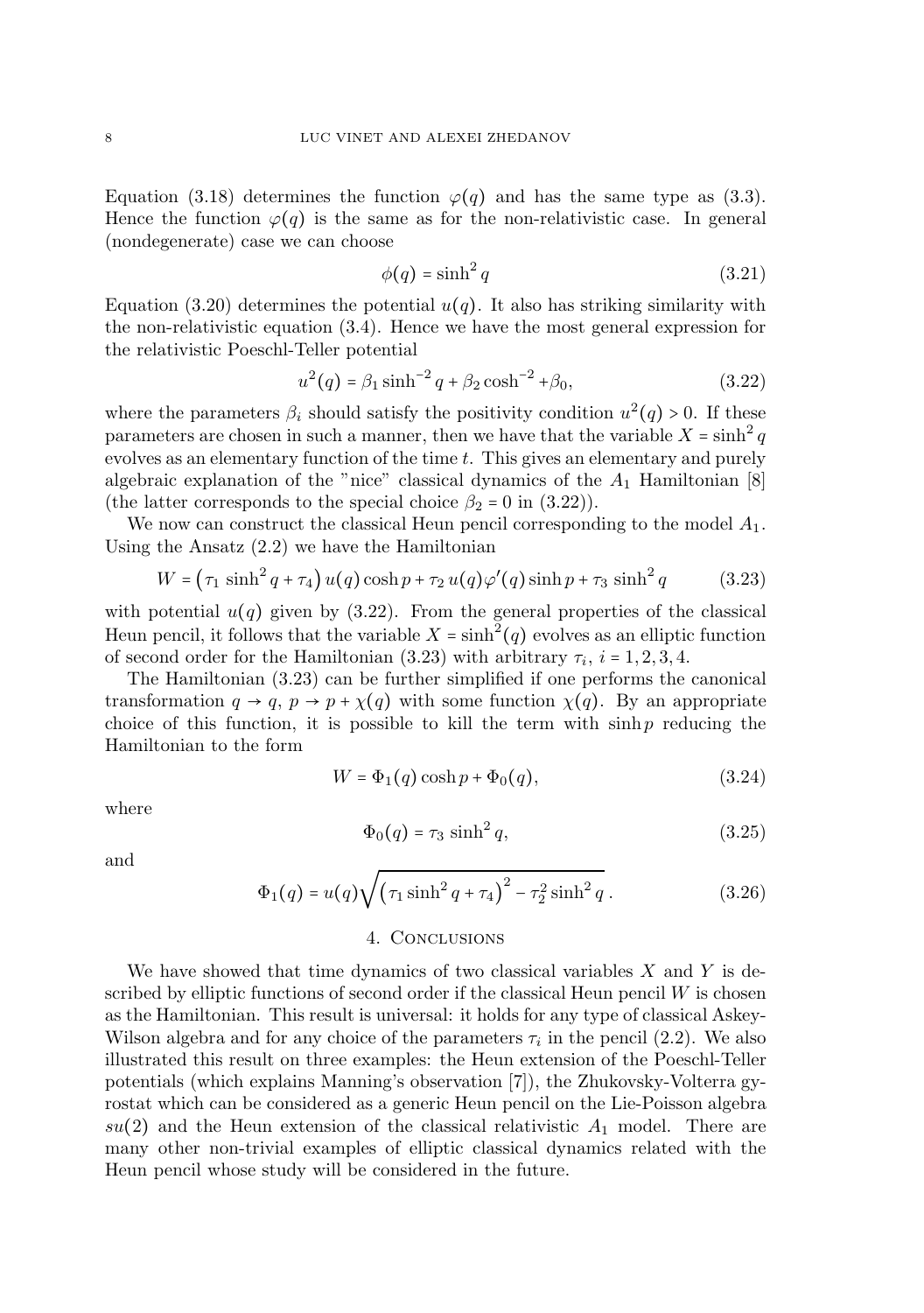Equation (3.18) determines the function  $\varphi(q)$  and has the same type as (3.3). Hence the function  $\varphi(q)$  is the same as for the non-relativistic case. In general (nondegenerate) case we can choose

$$
\phi(q) = \sinh^2 q \tag{3.21}
$$

Equation (3.20) determines the potential  $u(q)$ . It also has striking similarity with the non-relativistic equation (3.4). Hence we have the most general expression for the relativistic Poeschl-Teller potential

$$
u^{2}(q) = \beta_{1} \sinh^{-2} q + \beta_{2} \cosh^{-2} \phi_{0}, \qquad (3.22)
$$

where the parameters  $\beta_i$  should satisfy the positivity condition  $u^2(q) > 0$ . If these parameters are chosen in such a manner, then we have that the variable  $X = \sinh^2 q$ evolves as an elementary function of the time t. This gives an elementary and purely algebraic explanation of the "nice" classical dynamics of the  $A_1$  Hamiltonian [8] (the latter corresponds to the special choice  $\beta_2 = 0$  in (3.22)).

We now can construct the classical Heun pencil corresponding to the model  $A_1$ . Using the Ansatz (2.2) we have the Hamiltonian

$$
W = (\tau_1 \sinh^2 q + \tau_4) u(q) \cosh p + \tau_2 u(q) \varphi'(q) \sinh p + \tau_3 \sinh^2 q \qquad (3.23)
$$

with potential  $u(q)$  given by (3.22). From the general properties of the classical Heun pencil, it follows that the variable  $X = \sinh^2(q)$  evolves as an elliptic function of second order for the Hamiltonian  $(3.23)$  with arbitrary  $\tau_i$ ,  $i = 1, 2, 3, 4$ .

The Hamiltonian (3.23) can be further simplified if one performs the canonical transformation  $q \to q$ ,  $p \to p + \chi(q)$  with some function  $\chi(q)$ . By an appropriate choice of this function, it is possible to kill the term with  $\sinh p$  reducing the Hamiltonian to the form

$$
W = \Phi_1(q) \cosh p + \Phi_0(q),\tag{3.24}
$$

where

$$
\Phi_0(q) = \tau_3 \sinh^2 q,\tag{3.25}
$$

and

$$
\Phi_1(q) = u(q)\sqrt{(\tau_1 \sinh^2 q + \tau_4)^2 - \tau_2^2 \sinh^2 q}.
$$
\n(3.26)

### 4. Conclusions

We have showed that time dynamics of two classical variables  $X$  and  $Y$  is described by elliptic functions of second order if the classical Heun pencil  $W$  is chosen as the Hamiltonian. This result is universal: it holds for any type of classical Askey-Wilson algebra and for any choice of the parameters  $\tau_i$  in the pencil (2.2). We also illustrated this result on three examples: the Heun extension of the Poeschl-Teller potentials (which explains Manning's observation [7]), the Zhukovsky-Volterra gyrostat which can be considered as a generic Heun pencil on the Lie-Poisson algebra  $su(2)$  and the Heun extension of the classical relativistic  $A_1$  model. There are many other non-trivial examples of elliptic classical dynamics related with the Heun pencil whose study will be considered in the future.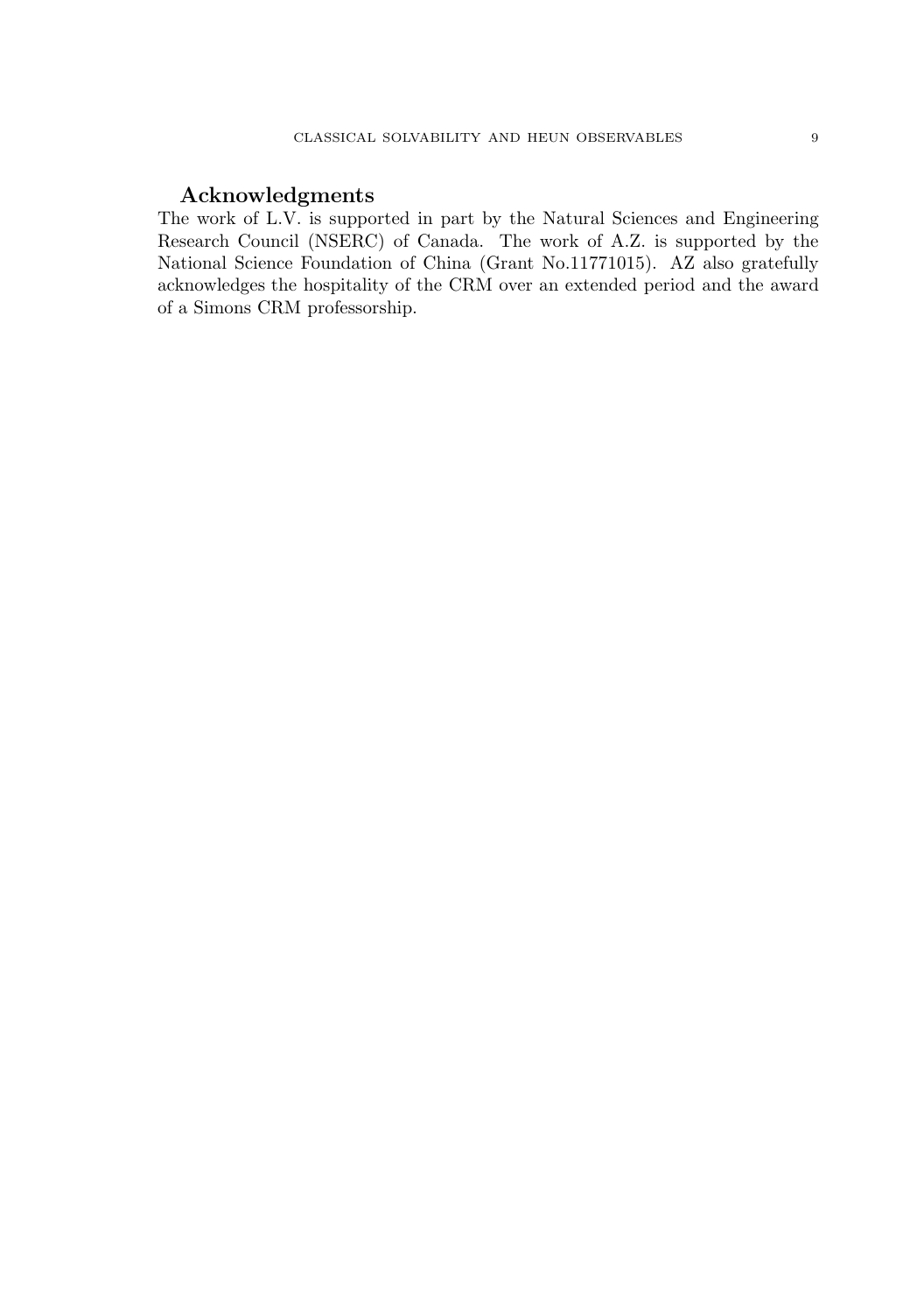# Acknowledgments

The work of L.V. is supported in part by the Natural Sciences and Engineering Research Council (NSERC) of Canada. The work of A.Z. is supported by the National Science Foundation of China (Grant No.11771015). AZ also gratefully acknowledges the hospitality of the CRM over an extended period and the award of a Simons CRM professorship.